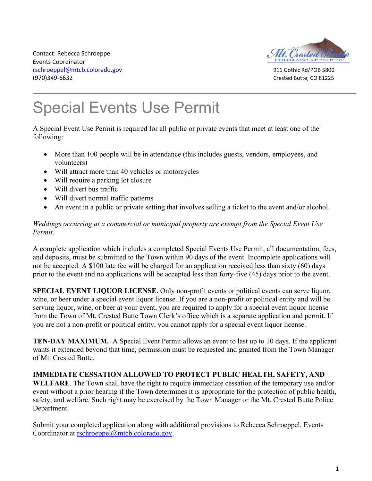Contact: Rebecca Schroeppel Events Coordinator [rschroeppel@mtcb.colorado.gov](mailto:rschroeppel@mtcb.colorado.gov) 911 Gothic Rd/POB 5800 (970)349-6632 Crested Butte, CO 81225



# j Special Events Use Permit

A Special Event Use Permit is required for all public or private events that meet at least one of the following:

- More than 100 people will be in attendance (this includes guests, vendors, employees, and volunteers)
- Will attract more than 40 vehicles or motorcycles
- Will require a parking lot closure
- Will divert bus traffic
- Will divert normal traffic patterns
- An event in a public or private setting that involves selling a ticket to the event and/or alcohol.

#### *Weddings occurring at a commercial or municipal property are exempt from the Special Event Use Permit*.

A complete application which includes a completed Special Events Use Permit, all documentation, fees, and deposits, must be submitted to the Town within 90 days of the event. Incomplete applications will not be accepted. A \$100 late fee will be charged for an application received less than sixty (60) days prior to the event and no applications will be accepted less than forty-five (45) days prior to the event.

**SPECIAL EVENT LIQUOR LICENSE.** Only non-profit events or political events can serve liquor, wine, or beer under a special event liquor license. If you are a non-profit or political entity and will be serving liquor, wine, or beer at your event, you are required to apply for a special event liquor license from the Town of Mt. Crested Butte Town Clerk's office which is a separate application and permit. If you are not a non-profit or political entity, you cannot apply for a special event liquor license.

**TEN-DAY MAXIMUM.** A Special Event Permit allows an event to last up to 10 days. If the applicant wants it extended beyond that time, permission must be requested and granted from the Town Manager of Mt. Crested Butte.

### **IMMEDIATE CESSATION ALLOWED TO PROTECT PUBLIC HEALTH, SAFETY, AND**

**WELFARE**. The Town shall have the right to require immediate cessation of the temporary use and/or event without a prior hearing if the Town determines it is appropriate for the protection of public health, safety, and welfare. Such right may be exercised by the Town Manager or the Mt. Crested Butte Police Department.

Submit your completed application along with additional provisions to Rebecca Schroeppel, Events Coordinator at [rschroeppel@mtcb.colorado.gov.](mailto:rschroeppel@mtcb.colorado.gov)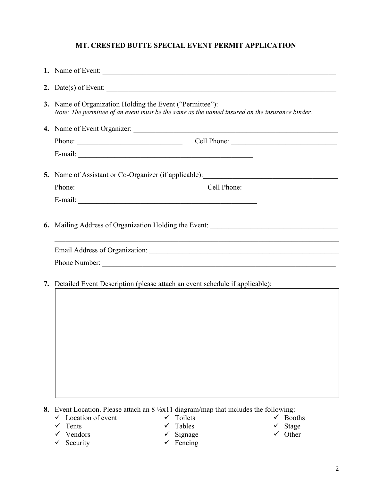#### **MT. CRESTED BUTTE SPECIAL EVENT PERMIT APPLICATION**

| 1. Name of Event:                                                                                                                                                                                                              |  |  |
|--------------------------------------------------------------------------------------------------------------------------------------------------------------------------------------------------------------------------------|--|--|
| 2. Date(s) of Event: $\overline{\phantom{a}}$                                                                                                                                                                                  |  |  |
| 3. Name of Organization Holding the Event ("Permittee"):<br>Note: The permittee of an event must be the same as the named insured on the insurance binder.                                                                     |  |  |
|                                                                                                                                                                                                                                |  |  |
| Phone: Cell Phone: Cell Phone:                                                                                                                                                                                                 |  |  |
| E-mail:                                                                                                                                                                                                                        |  |  |
| 5. Name of Assistant or Co-Organizer (if applicable): __________________________                                                                                                                                               |  |  |
| Phone:                                                                                                                                                                                                                         |  |  |
| E-mail: No. 1998. The Commission of the Commission of the Commission of the Commission of the Commission of the Commission of the Commission of the Commission of the Commission of the Commission of the Commission of the Co |  |  |
| 6. Mailing Address of Organization Holding the Event: __________________________                                                                                                                                               |  |  |
| 7. Detailed Event Description (please attach an event schedule if applicable):                                                                                                                                                 |  |  |
|                                                                                                                                                                                                                                |  |  |
|                                                                                                                                                                                                                                |  |  |
|                                                                                                                                                                                                                                |  |  |
|                                                                                                                                                                                                                                |  |  |
|                                                                                                                                                                                                                                |  |  |
|                                                                                                                                                                                                                                |  |  |
|                                                                                                                                                                                                                                |  |  |
|                                                                                                                                                                                                                                |  |  |

**8.** Event Location. Please attach an 8 ½x11 diagram/map that includes the following:

- $\checkmark$  Location of event  $\checkmark$  Toilets
- $\checkmark$  Tents
- $\checkmark$  Vendors
- $\checkmark$  Security
- $\checkmark$  Tables
- $\checkmark$  Signage
- $\checkmark$  Fencing
- $\checkmark$  Booths
	- $\checkmark$  Stage  $\checkmark$  Other
- 2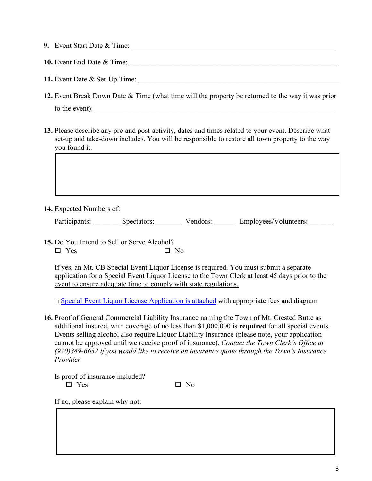| <b>9.</b> Event Start Date & Time: |  |
|------------------------------------|--|
| <b>10.</b> Event End Date & Time:  |  |
| 11. Event Date & Set-Up Time:      |  |

- **12.** Event Break Down Date & Time (what time will the property be returned to the way it was prior to the event):
- **13.** Please describe any pre-and post-activity, dates and times related to your event. Describe what set-up and take-down includes. You will be responsible to restore all town property to the way you found it.

**14.** Expected Numbers of:

Participants: Spectators: Vendors: Employees/Volunteers:

**15.** Do You Intend to Sell or Serve Alcohol?  $\square$  Yes  $\square$  No

If yes, an Mt. CB Special Event Liquor License is required. You must submit a separate application for a Special Event Liquor License to the Town Clerk at least 45 days prior to the event to ensure adequate time to comply with state regulations.

 $\Box$  [Special Event Liquor License Application is attached](https://mtcb.colorado.gov/sites/mtcb/files/documents/Special%20Event%20Liquor%20License%20Application%202022.pdf) with appropriate fees and diagram

**16.** Proof of General Commercial Liability Insurance naming the Town of Mt. Crested Butte as additional insured, with coverage of no less than \$1,000,000 is **required** for all special events. Events selling alcohol also require Liquor Liability Insurance (please note, your application cannot be approved until we receive proof of insurance). *Contact the Town Clerk's Office at (970)349-6632 if you would like to receive an insurance quote through the Town's Insurance Provider.*

Is proof of insurance included?  $\Box$  Yes  $\Box$  No

If no, please explain why not: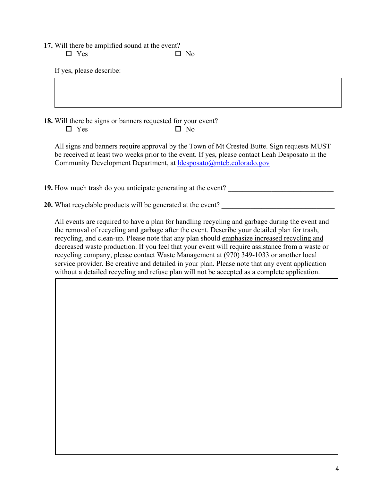**17.** Will there be amplified sound at the event?

 $\Box$  Yes  $\Box$  No

If yes, please describe:

**18.** Will there be signs or banners requested for your event?  $\Box$  Yes  $\Box$  No

All signs and banners require approval by the Town of Mt Crested Butte. Sign requests MUST be received at least two weeks prior to the event. If yes, please contact Leah Desposato in the Community Development Department, at [ldesposato@mtcb.colorado.gov](mailto:ldesposato@mtcb.colorado.gov)

**19.** How much trash do you anticipate generating at the event?

**20.** What recyclable products will be generated at the event?

All events are required to have a plan for handling recycling and garbage during the event and the removal of recycling and garbage after the event. Describe your detailed plan for trash, recycling, and clean-up. Please note that any plan should emphasize increased recycling and decreased waste production. If you feel that your event will require assistance from a waste or recycling company, please contact Waste Management at (970) 349-1033 or another local service provider. Be creative and detailed in your plan. Please note that any event application without a detailed recycling and refuse plan will not be accepted as a complete application.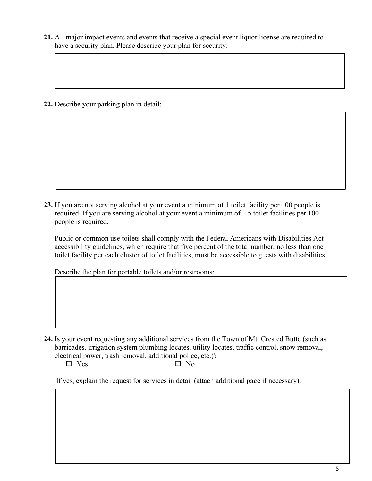**21.** All major impact events and events that receive a special event liquor license are required to have a security plan. Please describe your plan for security:

**22.** Describe your parking plan in detail:

 $\overline{1}$ 

I

**23.** If you are not serving alcohol at your event a minimum of 1 toilet facility per 100 people is required. If you are serving alcohol at your event a minimum of 1.5 toilet facilities per 100 people is required.

Public or common use toilets shall comply with the Federal Americans with Disabilities Act accessibility guidelines, which require that five percent of the total number, no less than one toilet facility per each cluster of toilet facilities, must be accessible to guests with disabilities.

Describe the plan for portable toilets and/or restrooms:

- **24.** Is your event requesting any additional services from the Town of Mt. Crested Butte (such as barricades, irrigation system plumbing locates, utility locates, traffic control, snow removal, electrical power, trash removal, additional police, etc.)?
	-

 $\square$  Yes  $\square$  No

If yes, explain the request for services in detail (attach additional page if necessary):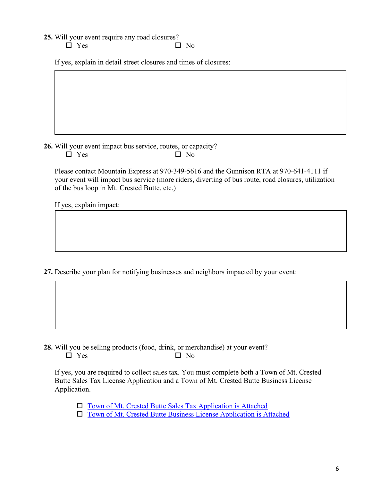- **25.** Will your event require any road closures?
	- $\square$  Yes  $\square$  No

If yes, explain in detail street closures and times of closures:

**26.** Will your event impact bus service, routes, or capacity?  $\Box$  Yes  $\Box$  No

Please contact Mountain Express at 970-349-5616 and the Gunnison RTA at 970-641-4111 if your event will impact bus service (more riders, diverting of bus route, road closures, utilization of the bus loop in Mt. Crested Butte, etc.)

If yes, explain impact:

**27.** Describe your plan for notifying businesses and neighbors impacted by your event:

**28.** Will you be selling products (food, drink, or merchandise) at your event?  $\Box$  Yes  $\Box$  No

If yes, you are required to collect sales tax. You must complete both a Town of Mt. Crested Butte Sales Tax License Application and a Town of Mt. Crested Butte Business License Application.

 $\Box$  [Town of Mt. Crested Butte Sales Tax Application is Attached](https://mtcb.colorado.gov/sites/mtcb/files/documents/Sales_Tax_Application.pdf)

[Town of Mt. Crested Butte Business License Application is Attached](https://mtcb.colorado.gov/sites/mtcb/files/documents/2022%20BOLT%20Application%20-%20Fillable%20Form.pdf)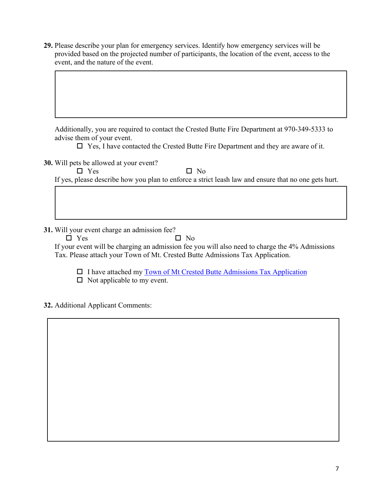**29.** Please describe your plan for emergency services. Identify how emergency services will be provided based on the projected number of participants, the location of the event, access to the event, and the nature of the event.

Additionally, you are required to contact the Crested Butte Fire Department at 970-349-5333 to advise them of your event.

 $\Box$  Yes, I have contacted the Crested Butte Fire Department and they are aware of it.

**30.** Will pets be allowed at your event?

 $\square$  Yes  $\square$  No

If yes, please describe how you plan to enforce a strict leash law and ensure that no one gets hurt.

**31.** Will your event charge an admission fee?

 $\square$  Yes  $\square$  No

If your event will be charging an admission fee you will also need to charge the 4% Admissions Tax. Please attach your Town of Mt. Crested Butte Admissions Tax Application.

□ I have attached my [Town of Mt Crested Butte Admissions Tax Application](https://mtcb.colorado.gov/sites/mtcb/files/documents/Sales_Tax_Application.pdf)

 $\Box$  Not applicable to my event.

**32.** Additional Applicant Comments: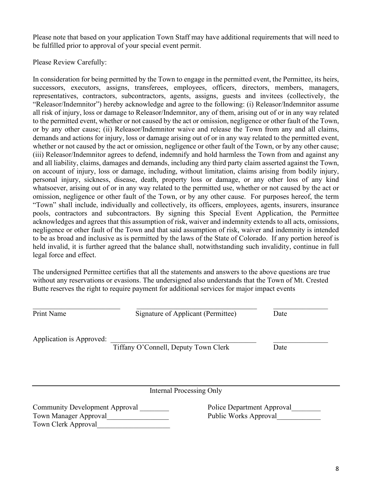Please note that based on your application Town Staff may have additional requirements that will need to be fulfilled prior to approval of your special event permit.

Please Review Carefully:

In consideration for being permitted by the Town to engage in the permitted event, the Permittee, its heirs, successors, executors, assigns, transferees, employees, officers, directors, members, managers, representatives, contractors, subcontractors, agents, assigns, guests and invitees (collectively, the "Releasor/Indemnitor") hereby acknowledge and agree to the following: (i) Releasor/Indemnitor assume all risk of injury, loss or damage to Releasor/Indemnitor, any of them, arising out of or in any way related to the permitted event, whether or not caused by the act or omission, negligence or other fault of the Town, or by any other cause; (ii) Releasor/Indemnitor waive and release the Town from any and all claims, demands and actions for injury, loss or damage arising out of or in any way related to the permitted event, whether or not caused by the act or omission, negligence or other fault of the Town, or by any other cause; (iii) Releasor/Indemnitor agrees to defend, indemnify and hold harmless the Town from and against any and all liability, claims, damages and demands, including any third party claim asserted against the Town, on account of injury, loss or damage, including, without limitation, claims arising from bodily injury, personal injury, sickness, disease, death, property loss or damage, or any other loss of any kind whatsoever, arising out of or in any way related to the permitted use, whether or not caused by the act or omission, negligence or other fault of the Town, or by any other cause. For purposes hereof, the term "Town" shall include, individually and collectively, its officers, employees, agents, insurers, insurance pools, contractors and subcontractors. By signing this Special Event Application, the Permittee acknowledges and agrees that this assumption of risk, waiver and indemnity extends to all acts, omissions, negligence or other fault of the Town and that said assumption of risk, waiver and indemnity is intended to be as broad and inclusive as is permitted by the laws of the State of Colorado. If any portion hereof is held invalid, it is further agreed that the balance shall, notwithstanding such invalidity, continue in full legal force and effect.

The undersigned Permittee certifies that all the statements and answers to the above questions are true without any reservations or evasions. The undersigned also understands that the Town of Mt. Crested Butte reserves the right to require payment for additional services for major impact events

Print Name Signature of Applicant (Permittee) Date

Application is Approved:

Tiffany O'Connell, Deputy Town Clerk Date

Internal Processing Only

Community Development Approval **Example 2** Police Department Approval Town Manager Approval **Example 20** Public Works Approval Town Clerk Approval\_\_\_\_\_\_\_\_\_\_\_\_\_\_\_\_\_\_\_\_